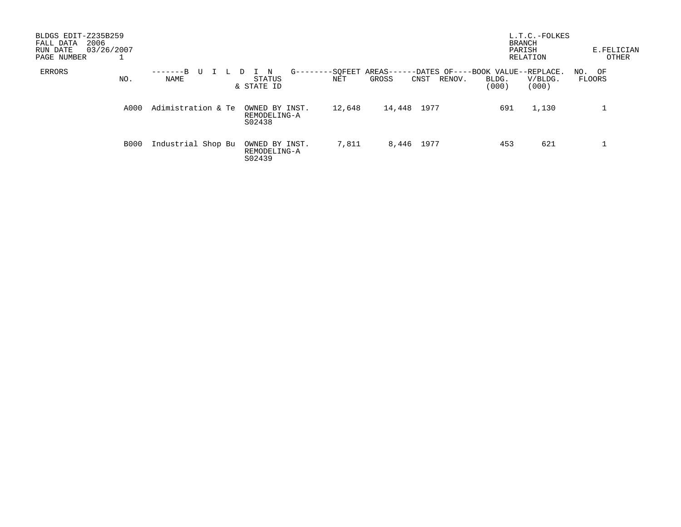| BLDGS EDIT-Z235B259<br>2006<br>FALL DATA<br>03/26/2007<br>RUN DATE<br>PAGE NUMBER |                       |                                                                     |                                                                                 | L.T.C.-FOLKES<br><b>BRANCH</b><br>PARISH<br>RELATION | E.FELICIAN<br>OTHER |
|-----------------------------------------------------------------------------------|-----------------------|---------------------------------------------------------------------|---------------------------------------------------------------------------------|------------------------------------------------------|---------------------|
| ERRORS<br>NO.                                                                     | -------B<br>U<br>NAME | -SOFEET AREAS---<br>$G - - - -$<br>N<br>STATUS<br>NET<br>& STATE ID | --DATES OF----BOOK VALUE--REPLACE.<br>GROSS<br>CNST<br>RENOV.<br>BLDG.<br>(000) | V/BLDG.<br>(000)                                     | NO. OF<br>FLOORS    |
| A000                                                                              | Adimistration & Te    | 12,648<br>OWNED BY INST.<br>REMODELING-A<br>S02438                  | 1977<br>14,448                                                                  | 691<br>1,130                                         |                     |
| <b>B000</b>                                                                       | Industrial Shop Bu    | 7,811<br>OWNED BY INST.<br>REMODELING-A<br>S02439                   | 8,446 1977                                                                      | 621<br>453                                           |                     |